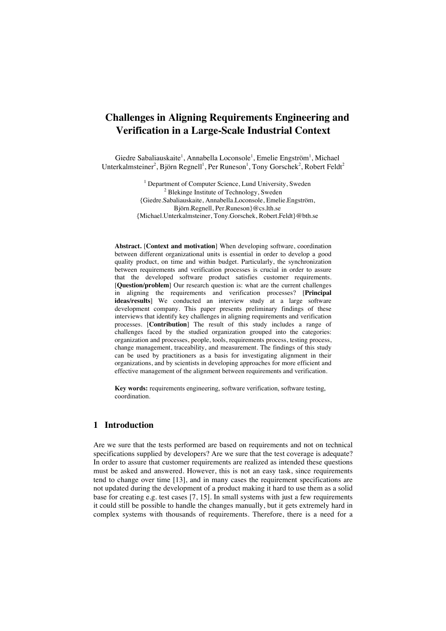# **Challenges in Aligning Requirements Engineering and Verification in a Large-Scale Industrial Context**

Giedre Sabaliauskaite<sup>1</sup>, Annabella Loconsole<sup>1</sup>, Emelie Engström<sup>1</sup>, Michael Unterkalmsteiner<sup>2</sup>, Björn Regnell<sup>1</sup>, Per Runeson<sup>1</sup>, Tony Gorschek<sup>2</sup>, Robert Feldt<sup>2</sup>

> <sup>1</sup> Department of Computer Science, Lund University, Sweden <sup>2</sup> Blekinge Institute of Technology, Sweden {Giedre.Sabaliauskaite, Annabella.Loconsole, Emelie.Engström, Björn.Regnell, Per.Runeson}@cs.lth.se {Michael.Unterkalmsteiner, Tony.Gorschek, Robert.Feldt}@bth.se

**Abstract.** [**Context and motivation**] When developing software, coordination between different organizational units is essential in order to develop a good quality product, on time and within budget. Particularly, the synchronization between requirements and verification processes is crucial in order to assure that the developed software product satisfies customer requirements. [**Question/problem**] Our research question is: what are the current challenges in aligning the requirements and verification processes? [**Principal ideas/results**] We conducted an interview study at a large software development company. This paper presents preliminary findings of these interviews that identify key challenges in aligning requirements and verification processes. [**Contribution**] The result of this study includes a range of challenges faced by the studied organization grouped into the categories: organization and processes, people, tools, requirements process, testing process, change management, traceability, and measurement. The findings of this study can be used by practitioners as a basis for investigating alignment in their organizations, and by scientists in developing approaches for more efficient and effective management of the alignment between requirements and verification.

**Key words:** requirements engineering, software verification, software testing, coordination.

# **1 Introduction**

Are we sure that the tests performed are based on requirements and not on technical specifications supplied by developers? Are we sure that the test coverage is adequate? In order to assure that customer requirements are realized as intended these questions must be asked and answered. However, this is not an easy task, since requirements tend to change over time [13], and in many cases the requirement specifications are not updated during the development of a product making it hard to use them as a solid base for creating e.g. test cases [7, 15]. In small systems with just a few requirements it could still be possible to handle the changes manually, but it gets extremely hard in complex systems with thousands of requirements. Therefore, there is a need for a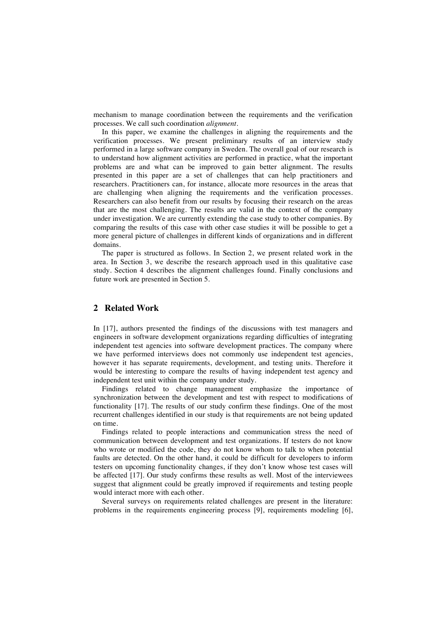mechanism to manage coordination between the requirements and the verification processes. We call such coordination *alignment*.

In this paper, we examine the challenges in aligning the requirements and the verification processes. We present preliminary results of an interview study performed in a large software company in Sweden. The overall goal of our research is to understand how alignment activities are performed in practice, what the important problems are and what can be improved to gain better alignment. The results presented in this paper are a set of challenges that can help practitioners and researchers. Practitioners can, for instance, allocate more resources in the areas that are challenging when aligning the requirements and the verification processes. Researchers can also benefit from our results by focusing their research on the areas that are the most challenging. The results are valid in the context of the company under investigation. We are currently extending the case study to other companies. By comparing the results of this case with other case studies it will be possible to get a more general picture of challenges in different kinds of organizations and in different domains.

The paper is structured as follows. In Section 2, we present related work in the area. In Section 3, we describe the research approach used in this qualitative case study. Section 4 describes the alignment challenges found. Finally conclusions and future work are presented in Section 5.

# **2 Related Work**

In [17], authors presented the findings of the discussions with test managers and engineers in software development organizations regarding difficulties of integrating independent test agencies into software development practices. The company where we have performed interviews does not commonly use independent test agencies, however it has separate requirements, development, and testing units. Therefore it would be interesting to compare the results of having independent test agency and independent test unit within the company under study.

Findings related to change management emphasize the importance of synchronization between the development and test with respect to modifications of functionality [17]. The results of our study confirm these findings. One of the most recurrent challenges identified in our study is that requirements are not being updated on time.

Findings related to people interactions and communication stress the need of communication between development and test organizations. If testers do not know who wrote or modified the code, they do not know whom to talk to when potential faults are detected. On the other hand, it could be difficult for developers to inform testers on upcoming functionality changes, if they don't know whose test cases will be affected [17]. Our study confirms these results as well. Most of the interviewees suggest that alignment could be greatly improved if requirements and testing people would interact more with each other.

Several surveys on requirements related challenges are present in the literature: problems in the requirements engineering process [9], requirements modeling [6],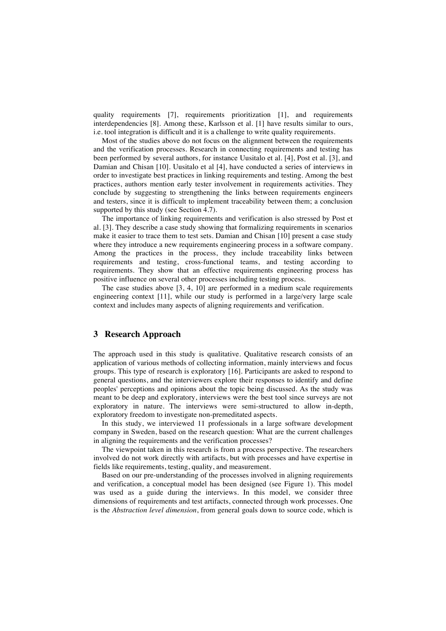quality requirements [7], requirements prioritization [1], and requirements interdependencies [8]. Among these, Karlsson et al. [1] have results similar to ours, i.e. tool integration is difficult and it is a challenge to write quality requirements.

Most of the studies above do not focus on the alignment between the requirements and the verification processes. Research in connecting requirements and testing has been performed by several authors, for instance Uusitalo et al. [4], Post et al. [3], and Damian and Chisan [10]. Uusitalo et al [4], have conducted a series of interviews in order to investigate best practices in linking requirements and testing. Among the best practices, authors mention early tester involvement in requirements activities. They conclude by suggesting to strengthening the links between requirements engineers and testers, since it is difficult to implement traceability between them; a conclusion supported by this study (see Section 4.7).

The importance of linking requirements and verification is also stressed by Post et al. [3]. They describe a case study showing that formalizing requirements in scenarios make it easier to trace them to test sets. Damian and Chisan [10] present a case study where they introduce a new requirements engineering process in a software company. Among the practices in the process, they include traceability links between requirements and testing, cross-functional teams, and testing according to requirements. They show that an effective requirements engineering process has positive influence on several other processes including testing process.

The case studies above [3, 4, 10] are performed in a medium scale requirements engineering context [11], while our study is performed in a large/very large scale context and includes many aspects of aligning requirements and verification.

# **3 Research Approach**

The approach used in this study is qualitative. Qualitative research consists of an application of various methods of collecting information, mainly interviews and focus groups. This type of research is exploratory [16]. Participants are asked to respond to general questions, and the interviewers explore their responses to identify and define peoples' perceptions and opinions about the topic being discussed. As the study was meant to be deep and exploratory, interviews were the best tool since surveys are not exploratory in nature. The interviews were semi-structured to allow in-depth, exploratory freedom to investigate non-premeditated aspects.

In this study, we interviewed 11 professionals in a large software development company in Sweden, based on the research question: What are the current challenges in aligning the requirements and the verification processes?

The viewpoint taken in this research is from a process perspective. The researchers involved do not work directly with artifacts, but with processes and have expertise in fields like requirements, testing, quality, and measurement.

Based on our pre-understanding of the processes involved in aligning requirements and verification, a conceptual model has been designed (see Figure 1). This model was used as a guide during the interviews. In this model, we consider three dimensions of requirements and test artifacts, connected through work processes. One is the *Abstraction level dimension*, from general goals down to source code, which is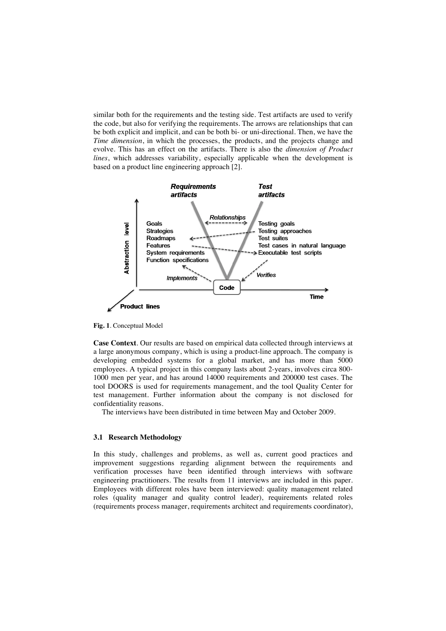similar both for the requirements and the testing side. Test artifacts are used to verify the code, but also for verifying the requirements. The arrows are relationships that can be both explicit and implicit, and can be both bi- or uni-directional. Then, we have the *Time dimension*, in which the processes, the products, and the projects change and evolve. This has an effect on the artifacts. There is also the *dimension of Product lines*, which addresses variability, especially applicable when the development is based on a product line engineering approach [2].



**Fig. 1**. Conceptual Model

**Case Context**. Our results are based on empirical data collected through interviews at a large anonymous company, which is using a product-line approach. The company is developing embedded systems for a global market, and has more than 5000 employees. A typical project in this company lasts about 2-years, involves circa 800- 1000 men per year, and has around 14000 requirements and 200000 test cases. The tool DOORS is used for requirements management, and the tool Quality Center for test management. Further information about the company is not disclosed for confidentiality reasons.

The interviews have been distributed in time between May and October 2009.

### **3.1 Research Methodology**

In this study, challenges and problems, as well as, current good practices and improvement suggestions regarding alignment between the requirements and verification processes have been identified through interviews with software engineering practitioners. The results from 11 interviews are included in this paper. Employees with different roles have been interviewed: quality management related roles (quality manager and quality control leader), requirements related roles (requirements process manager, requirements architect and requirements coordinator),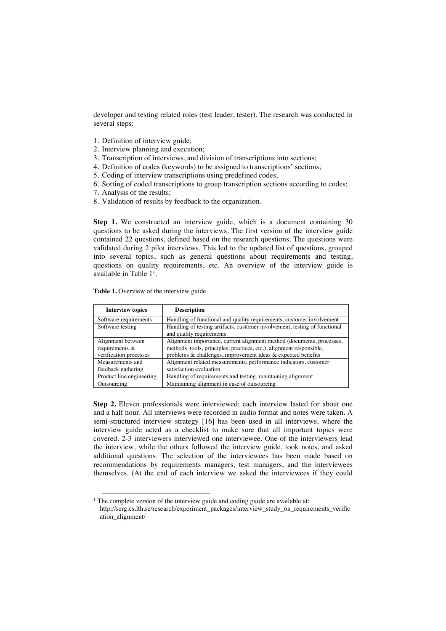developer and testing related roles (test leader, tester). The research was conducted in several steps:

- 1. Definition of interview guide;
- 2. Interview planning and execution;
- 3. Transcription of interviews, and division of transcriptions into sections;
- 4. Definition of codes (keywords) to be assigned to transcriptions' sections;
- 5. Coding of interview transcriptions using predefined codes;
- 6. Sorting of coded transcriptions to group transcription sections according to codes;
- 7. Analysis of the results;
- 8. Validation of results by feedback to the organization.

**Step 1.** We constructed an interview guide, which is a document containing 30 questions to be asked during the interviews. The first version of the interview guide contained 22 questions, defined based on the research questions. The questions were validated during 2 pilot interviews. This led to the updated list of questions, grouped into several topics, such as general questions about requirements and testing, questions on quality requirements, etc. An overview of the interview guide is available in Table 11 .

| <b>Interview topics</b>  | <b>Description</b>                                                                                     |
|--------------------------|--------------------------------------------------------------------------------------------------------|
| Software requirements    | Handling of functional and quality requirements, customer involvement                                  |
| Software testing         | Handling of testing artifacts, customer involvement, testing of functional<br>and quality requirements |
| Alignment between        | Alignment importance, current alignment method (documents, processes,                                  |
| requirements $\&$        | methods, tools, principles, practices, etc.), alignment responsible,                                   |
| verification processes   | problems & challenges, improvement ideas & expected benefits                                           |
| Measurements and         | Alignment related measurements, performance indicators, customer                                       |
| feedback gathering       | satisfaction evaluation                                                                                |
| Product line engineering | Handling of requirements and testing, maintaining alignment                                            |
| Outsourcing              | Maintaining alignment in case of outsourcing                                                           |

Table 1. Overview of the interview guide

**Step 2.** Eleven professionals were interviewed; each interview lasted for about one and a half hour. All interviews were recorded in audio format and notes were taken. A semi-structured interview strategy [16] has been used in all interviews, where the interview guide acted as a checklist to make sure that all important topics were covered. 2-3 interviewers interviewed one interviewee. One of the interviewers lead the interview, while the others followed the interview guide, took notes, and asked additional questions. The selection of the interviewees has been made based on recommendations by requirements managers, test managers, and the interviewees themselves. (At the end of each interview we asked the interviewees if they could

 $1$  The complete version of the interview guide and coding guide are available at:

http://serg.cs.lth.se/research/experiment\_packages/interview\_study\_on\_requirements\_verific ation\_alignment/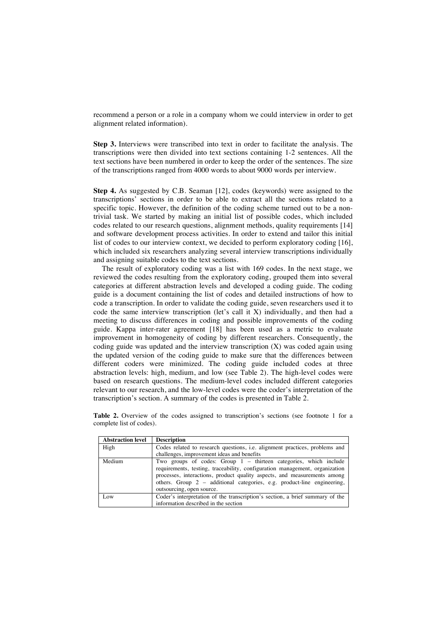recommend a person or a role in a company whom we could interview in order to get alignment related information).

**Step 3.** Interviews were transcribed into text in order to facilitate the analysis. The transcriptions were then divided into text sections containing 1-2 sentences. All the text sections have been numbered in order to keep the order of the sentences. The size of the transcriptions ranged from 4000 words to about 9000 words per interview.

**Step 4.** As suggested by C.B. Seaman [12], codes (keywords) were assigned to the transcriptions' sections in order to be able to extract all the sections related to a specific topic. However, the definition of the coding scheme turned out to be a nontrivial task. We started by making an initial list of possible codes, which included codes related to our research questions, alignment methods, quality requirements [14] and software development process activities. In order to extend and tailor this initial list of codes to our interview context, we decided to perform exploratory coding [16], which included six researchers analyzing several interview transcriptions individually and assigning suitable codes to the text sections.

The result of exploratory coding was a list with 169 codes. In the next stage, we reviewed the codes resulting from the exploratory coding, grouped them into several categories at different abstraction levels and developed a coding guide. The coding guide is a document containing the list of codes and detailed instructions of how to code a transcription. In order to validate the coding guide, seven researchers used it to code the same interview transcription (let's call it X) individually, and then had a meeting to discuss differences in coding and possible improvements of the coding guide. Kappa inter-rater agreement [18] has been used as a metric to evaluate improvement in homogeneity of coding by different researchers. Consequently, the coding guide was updated and the interview transcription (X) was coded again using the updated version of the coding guide to make sure that the differences between different coders were minimized. The coding guide included codes at three abstraction levels: high, medium, and low (see Table 2). The high-level codes were based on research questions. The medium-level codes included different categories relevant to our research, and the low-level codes were the coder's interpretation of the transcription's section. A summary of the codes is presented in Table 2.

| complete list of codes). |                                        |                                                                           |  |  |  |  |  |
|--------------------------|----------------------------------------|---------------------------------------------------------------------------|--|--|--|--|--|
|                          | <b>Abstraction level   Description</b> |                                                                           |  |  |  |  |  |
|                          | High                                   | Codes related to research questions i.e. alignment practices problems and |  |  |  |  |  |

Table 2. Overview of the codes assigned to transcription's sections (see footnote 1 for a complete list of codes).

| <b>Abstraction level</b> | <b>Description</b>                                                                                                                                                                                                                                                                                                                       |  |  |  |  |  |
|--------------------------|------------------------------------------------------------------------------------------------------------------------------------------------------------------------------------------------------------------------------------------------------------------------------------------------------------------------------------------|--|--|--|--|--|
| High                     | Codes related to research questions, i.e. alignment practices, problems and                                                                                                                                                                                                                                                              |  |  |  |  |  |
|                          | challenges, improvement ideas and benefits                                                                                                                                                                                                                                                                                               |  |  |  |  |  |
| Medium                   | Two groups of codes: Group $1$ – thirteen categories, which include<br>requirements, testing, traceability, configuration management, organization<br>processes, interactions, product quality aspects, and measurements among<br>others. Group $2$ – additional categories, e.g. product-line engineering,<br>outsourcing, open source. |  |  |  |  |  |
| Low                      | Coder's interpretation of the transcription's section, a brief summary of the<br>information described in the section                                                                                                                                                                                                                    |  |  |  |  |  |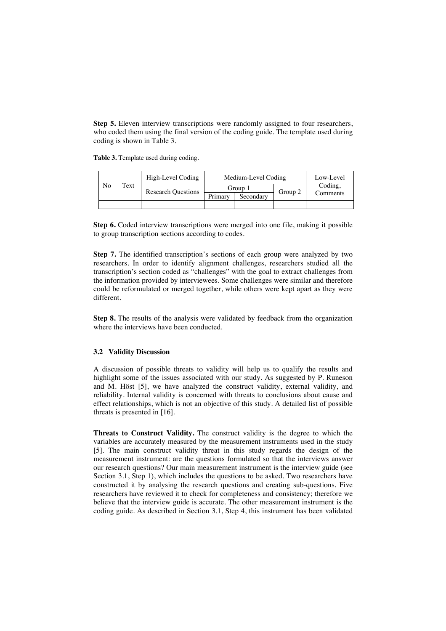**Step 5.** Eleven interview transcriptions were randomly assigned to four researchers, who coded them using the final version of the coding guide. The template used during coding is shown in Table 3.

**Table 3.** Template used during coding.

| No | Text | High-Level Coding         | Medium-Level Coding |                                 | Low-Level<br>Coding,<br>Comments |  |
|----|------|---------------------------|---------------------|---------------------------------|----------------------------------|--|
|    |      | <b>Research Ouestions</b> |                     | Group 1<br>Primary<br>Secondary |                                  |  |
|    |      |                           |                     |                                 |                                  |  |

Step 6. Coded interview transcriptions were merged into one file, making it possible to group transcription sections according to codes.

**Step 7.** The identified transcription's sections of each group were analyzed by two researchers. In order to identify alignment challenges, researchers studied all the transcription's section coded as "challenges" with the goal to extract challenges from the information provided by interviewees. Some challenges were similar and therefore could be reformulated or merged together, while others were kept apart as they were different.

**Step 8.** The results of the analysis were validated by feedback from the organization where the interviews have been conducted.

### **3.2 Validity Discussion**

A discussion of possible threats to validity will help us to qualify the results and highlight some of the issues associated with our study. As suggested by P. Runeson and M. Höst [5], we have analyzed the construct validity, external validity, and reliability. Internal validity is concerned with threats to conclusions about cause and effect relationships, which is not an objective of this study. A detailed list of possible threats is presented in [16].

**Threats to Construct Validity.** The construct validity is the degree to which the variables are accurately measured by the measurement instruments used in the study [5]. The main construct validity threat in this study regards the design of the measurement instrument: are the questions formulated so that the interviews answer our research questions? Our main measurement instrument is the interview guide (see Section 3.1, Step 1), which includes the questions to be asked. Two researchers have constructed it by analysing the research questions and creating sub-questions. Five researchers have reviewed it to check for completeness and consistency; therefore we believe that the interview guide is accurate. The other measurement instrument is the coding guide. As described in Section 3.1, Step 4, this instrument has been validated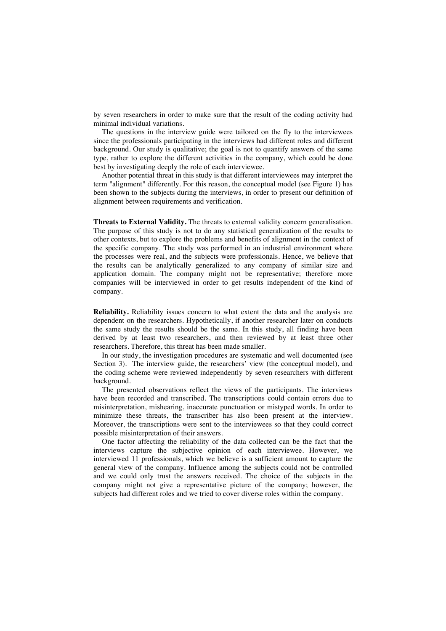by seven researchers in order to make sure that the result of the coding activity had minimal individual variations.

The questions in the interview guide were tailored on the fly to the interviewees since the professionals participating in the interviews had different roles and different background. Our study is qualitative; the goal is not to quantify answers of the same type, rather to explore the different activities in the company, which could be done best by investigating deeply the role of each interviewee.

Another potential threat in this study is that different interviewees may interpret the term "alignment" differently. For this reason, the conceptual model (see Figure 1) has been shown to the subjects during the interviews, in order to present our definition of alignment between requirements and verification.

**Threats to External Validity.** The threats to external validity concern generalisation. The purpose of this study is not to do any statistical generalization of the results to other contexts, but to explore the problems and benefits of alignment in the context of the specific company. The study was performed in an industrial environment where the processes were real, and the subjects were professionals. Hence, we believe that the results can be analytically generalized to any company of similar size and application domain. The company might not be representative; therefore more companies will be interviewed in order to get results independent of the kind of company.

**Reliability.** Reliability issues concern to what extent the data and the analysis are dependent on the researchers. Hypothetically, if another researcher later on conducts the same study the results should be the same. In this study, all finding have been derived by at least two researchers, and then reviewed by at least three other researchers. Therefore, this threat has been made smaller.

In our study, the investigation procedures are systematic and well documented (see Section 3). The interview guide, the researchers' view (the conceptual model), and the coding scheme were reviewed independently by seven researchers with different background.

The presented observations reflect the views of the participants. The interviews have been recorded and transcribed. The transcriptions could contain errors due to misinterpretation, mishearing, inaccurate punctuation or mistyped words. In order to minimize these threats, the transcriber has also been present at the interview. Moreover, the transcriptions were sent to the interviewees so that they could correct possible misinterpretation of their answers.

One factor affecting the reliability of the data collected can be the fact that the interviews capture the subjective opinion of each interviewee. However, we interviewed 11 professionals, which we believe is a sufficient amount to capture the general view of the company. Influence among the subjects could not be controlled and we could only trust the answers received. The choice of the subjects in the company might not give a representative picture of the company; however, the subjects had different roles and we tried to cover diverse roles within the company.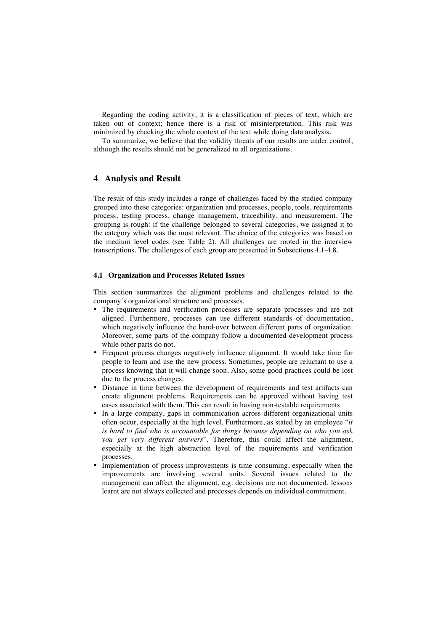Regarding the coding activity, it is a classification of pieces of text, which are taken out of context; hence there is a risk of misinterpretation. This risk was minimized by checking the whole context of the text while doing data analysis.

To summarize, we believe that the validity threats of our results are under control, although the results should not be generalized to all organizations.

# **4 Analysis and Result**

The result of this study includes a range of challenges faced by the studied company grouped into these categories: organization and processes, people, tools, requirements process, testing process, change management, traceability, and measurement. The grouping is rough: if the challenge belonged to several categories, we assigned it to the category which was the most relevant. The choice of the categories was based on the medium level codes (see Table 2). All challenges are rooted in the interview transcriptions. The challenges of each group are presented in Subsections 4.1-4.8.

#### **4.1 Organization and Processes Related Issues**

This section summarizes the alignment problems and challenges related to the company's organizational structure and processes.

- The requirements and verification processes are separate processes and are not aligned. Furthermore, processes can use different standards of documentation, which negatively influence the hand-over between different parts of organization. Moreover, some parts of the company follow a documented development process while other parts do not.
- Frequent process changes negatively influence alignment. It would take time for people to learn and use the new process. Sometimes, people are reluctant to use a process knowing that it will change soon. Also, some good practices could be lost due to the process changes.
- Distance in time between the development of requirements and test artifacts can create alignment problems. Requirements can be approved without having test cases associated with them. This can result in having non-testable requirements.
- In a large company, gaps in communication across different organizational units often occur, especially at the high level. Furthermore, as stated by an employee "*it is hard to find who is accountable for things because depending on who you ask you get very different answers*". Therefore, this could affect the alignment, especially at the high abstraction level of the requirements and verification processes.
- Implementation of process improvements is time consuming, especially when the improvements are involving several units. Several issues related to the management can affect the alignment, e.g. decisions are not documented, lessons learnt are not always collected and processes depends on individual commitment.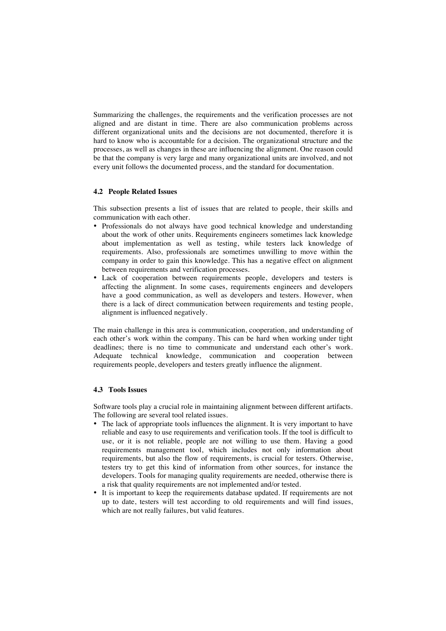Summarizing the challenges, the requirements and the verification processes are not aligned and are distant in time. There are also communication problems across different organizational units and the decisions are not documented, therefore it is hard to know who is accountable for a decision. The organizational structure and the processes, as well as changes in these are influencing the alignment. One reason could be that the company is very large and many organizational units are involved, and not every unit follows the documented process, and the standard for documentation.

# **4.2 People Related Issues**

This subsection presents a list of issues that are related to people, their skills and communication with each other.

- Professionals do not always have good technical knowledge and understanding about the work of other units. Requirements engineers sometimes lack knowledge about implementation as well as testing, while testers lack knowledge of requirements. Also, professionals are sometimes unwilling to move within the company in order to gain this knowledge. This has a negative effect on alignment between requirements and verification processes.
- Lack of cooperation between requirements people, developers and testers is affecting the alignment. In some cases, requirements engineers and developers have a good communication, as well as developers and testers. However, when there is a lack of direct communication between requirements and testing people, alignment is influenced negatively.

The main challenge in this area is communication, cooperation, and understanding of each other's work within the company. This can be hard when working under tight deadlines; there is no time to communicate and understand each other's work. Adequate technical knowledge, communication and cooperation between requirements people, developers and testers greatly influence the alignment.

#### **4.3 Tools Issues**

Software tools play a crucial role in maintaining alignment between different artifacts. The following are several tool related issues.

- The lack of appropriate tools influences the alignment. It is very important to have reliable and easy to use requirements and verification tools. If the tool is difficult to use, or it is not reliable, people are not willing to use them. Having a good requirements management tool, which includes not only information about requirements, but also the flow of requirements, is crucial for testers. Otherwise, testers try to get this kind of information from other sources, for instance the developers. Tools for managing quality requirements are needed, otherwise there is a risk that quality requirements are not implemented and/or tested.
- It is important to keep the requirements database updated. If requirements are not up to date, testers will test according to old requirements and will find issues, which are not really failures, but valid features.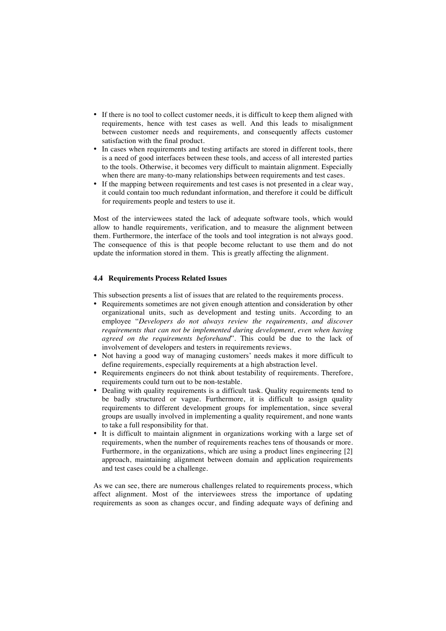- If there is no tool to collect customer needs, it is difficult to keep them aligned with requirements, hence with test cases as well. And this leads to misalignment between customer needs and requirements, and consequently affects customer satisfaction with the final product.
- In cases when requirements and testing artifacts are stored in different tools, there is a need of good interfaces between these tools, and access of all interested parties to the tools. Otherwise, it becomes very difficult to maintain alignment. Especially when there are many-to-many relationships between requirements and test cases.
- If the mapping between requirements and test cases is not presented in a clear way, it could contain too much redundant information, and therefore it could be difficult for requirements people and testers to use it.

Most of the interviewees stated the lack of adequate software tools, which would allow to handle requirements, verification, and to measure the alignment between them. Furthermore, the interface of the tools and tool integration is not always good. The consequence of this is that people become reluctant to use them and do not update the information stored in them. This is greatly affecting the alignment.

#### **4.4 Requirements Process Related Issues**

This subsection presents a list of issues that are related to the requirements process.

- Requirements sometimes are not given enough attention and consideration by other organizational units, such as development and testing units. According to an employee "*Developers do not always review the requirements, and discover requirements that can not be implemented during development, even when having agreed on the requirements beforehand*". This could be due to the lack of involvement of developers and testers in requirements reviews.
- Not having a good way of managing customers' needs makes it more difficult to define requirements, especially requirements at a high abstraction level.
- Requirements engineers do not think about testability of requirements. Therefore, requirements could turn out to be non-testable.
- Dealing with quality requirements is a difficult task. Quality requirements tend to be badly structured or vague. Furthermore, it is difficult to assign quality requirements to different development groups for implementation, since several groups are usually involved in implementing a quality requirement, and none wants to take a full responsibility for that.
- It is difficult to maintain alignment in organizations working with a large set of requirements, when the number of requirements reaches tens of thousands or more. Furthermore, in the organizations, which are using a product lines engineering [2] approach, maintaining alignment between domain and application requirements and test cases could be a challenge.

As we can see, there are numerous challenges related to requirements process, which affect alignment. Most of the interviewees stress the importance of updating requirements as soon as changes occur, and finding adequate ways of defining and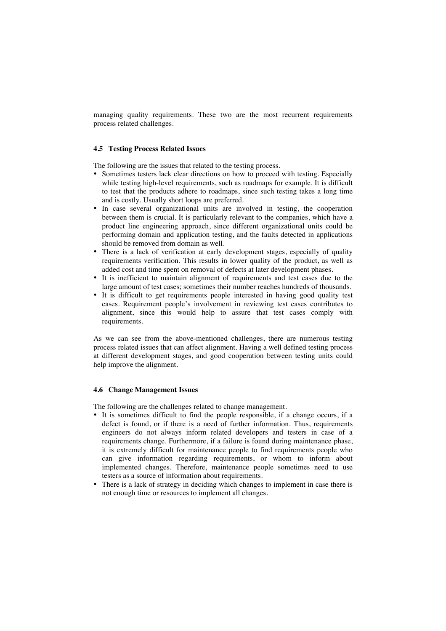managing quality requirements. These two are the most recurrent requirements process related challenges.

#### **4.5 Testing Process Related Issues**

The following are the issues that related to the testing process.

- Sometimes testers lack clear directions on how to proceed with testing. Especially while testing high-level requirements, such as roadmaps for example. It is difficult to test that the products adhere to roadmaps, since such testing takes a long time and is costly. Usually short loops are preferred.
- In case several organizational units are involved in testing, the cooperation between them is crucial. It is particularly relevant to the companies, which have a product line engineering approach, since different organizational units could be performing domain and application testing, and the faults detected in applications should be removed from domain as well.
- There is a lack of verification at early development stages, especially of quality requirements verification. This results in lower quality of the product, as well as added cost and time spent on removal of defects at later development phases.
- It is inefficient to maintain alignment of requirements and test cases due to the large amount of test cases; sometimes their number reaches hundreds of thousands.
- It is difficult to get requirements people interested in having good quality test cases. Requirement people's involvement in reviewing test cases contributes to alignment, since this would help to assure that test cases comply with requirements.

As we can see from the above-mentioned challenges, there are numerous testing process related issues that can affect alignment. Having a well defined testing process at different development stages, and good cooperation between testing units could help improve the alignment.

### **4.6 Change Management Issues**

The following are the challenges related to change management.

- It is sometimes difficult to find the people responsible, if a change occurs, if a defect is found, or if there is a need of further information. Thus, requirements engineers do not always inform related developers and testers in case of a requirements change. Furthermore, if a failure is found during maintenance phase, it is extremely difficult for maintenance people to find requirements people who can give information regarding requirements, or whom to inform about implemented changes. Therefore, maintenance people sometimes need to use testers as a source of information about requirements.
- There is a lack of strategy in deciding which changes to implement in case there is not enough time or resources to implement all changes.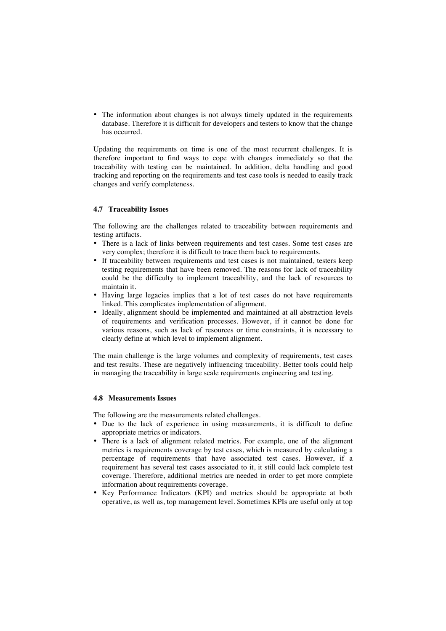• The information about changes is not always timely updated in the requirements database. Therefore it is difficult for developers and testers to know that the change has occurred.

Updating the requirements on time is one of the most recurrent challenges. It is therefore important to find ways to cope with changes immediately so that the traceability with testing can be maintained. In addition, delta handling and good tracking and reporting on the requirements and test case tools is needed to easily track changes and verify completeness.

# **4.7 Traceability Issues**

The following are the challenges related to traceability between requirements and testing artifacts.

- There is a lack of links between requirements and test cases. Some test cases are very complex; therefore it is difficult to trace them back to requirements.
- If traceability between requirements and test cases is not maintained, testers keep testing requirements that have been removed. The reasons for lack of traceability could be the difficulty to implement traceability, and the lack of resources to maintain it.
- Having large legacies implies that a lot of test cases do not have requirements linked. This complicates implementation of alignment.
- Ideally, alignment should be implemented and maintained at all abstraction levels of requirements and verification processes. However, if it cannot be done for various reasons, such as lack of resources or time constraints, it is necessary to clearly define at which level to implement alignment.

The main challenge is the large volumes and complexity of requirements, test cases and test results. These are negatively influencing traceability. Better tools could help in managing the traceability in large scale requirements engineering and testing.

#### **4.8 Measurements Issues**

The following are the measurements related challenges.

- Due to the lack of experience in using measurements, it is difficult to define appropriate metrics or indicators.
- There is a lack of alignment related metrics. For example, one of the alignment metrics is requirements coverage by test cases, which is measured by calculating a percentage of requirements that have associated test cases. However, if a requirement has several test cases associated to it, it still could lack complete test coverage. Therefore, additional metrics are needed in order to get more complete information about requirements coverage.
- Key Performance Indicators (KPI) and metrics should be appropriate at both operative, as well as, top management level. Sometimes KPIs are useful only at top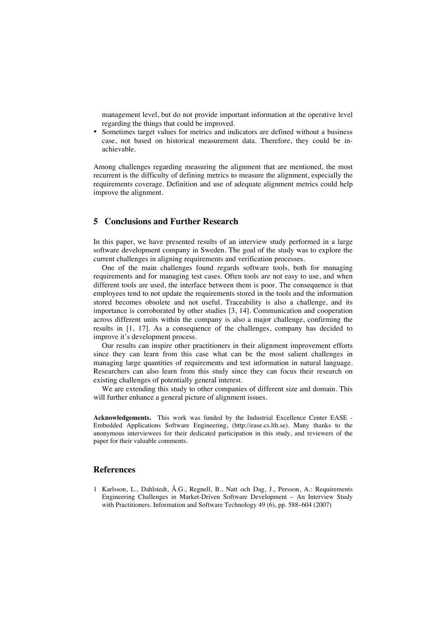management level, but do not provide important information at the operative level regarding the things that could be improved.

Sometimes target values for metrics and indicators are defined without a business case, not based on historical measurement data. Therefore, they could be inachievable.

Among challenges regarding measuring the alignment that are mentioned, the most recurrent is the difficulty of defining metrics to measure the alignment, especially the requirements coverage. Definition and use of adequate alignment metrics could help improve the alignment.

# **5 Conclusions and Further Research**

In this paper, we have presented results of an interview study performed in a large software development company in Sweden. The goal of the study was to explore the current challenges in aligning requirements and verification processes.

One of the main challenges found regards software tools, both for managing requirements and for managing test cases. Often tools are not easy to use, and when different tools are used, the interface between them is poor. The consequence is that employees tend to not update the requirements stored in the tools and the information stored becomes obsolete and not useful. Traceability is also a challenge, and its importance is corroborated by other studies [3, 14]. Communication and cooperation across different units within the company is also a major challenge, confirming the results in [1, 17]. As a consequence of the challenges, company has decided to improve it's development process.

Our results can inspire other practitioners in their alignment improvement efforts since they can learn from this case what can be the most salient challenges in managing large quantities of requirements and test information in natural language. Researchers can also learn from this study since they can focus their research on existing challenges of potentially general interest.

We are extending this study to other companies of different size and domain. This will further enhance a general picture of alignment issues.

**Acknowledgements.** This work was funded by the Industrial Excellence Center EASE - Embedded Applications Software Engineering, (http://ease.cs.lth.se). Many thanks to the anonymous interviewees for their dedicated participation in this study, and reviewers of the paper for their valuable comments.

#### **References**

1 Karlsson, L., Dahlstedt, Å.G., Regnell, B., Natt och Dag, J., Persson, A.: Requirements Engineering Challenges in Market-Driven Software Development – An Interview Study with Practitioners. Information and Software Technology 49 (6), pp. 588–604 (2007)